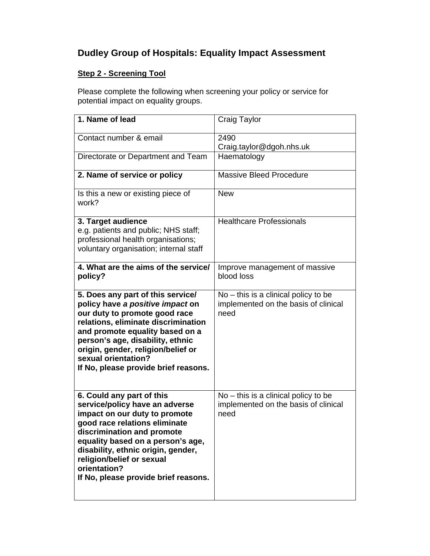## **Dudley Group of Hospitals: Equality Impact Assessment**

## **Step 2 - Screening Tool**

Please complete the following when screening your policy or service for potential impact on equality groups.

| 1. Name of lead                                                                                                                                                                                                                                                                                                             | Craig Taylor                                                                           |
|-----------------------------------------------------------------------------------------------------------------------------------------------------------------------------------------------------------------------------------------------------------------------------------------------------------------------------|----------------------------------------------------------------------------------------|
| Contact number & email                                                                                                                                                                                                                                                                                                      | 2490                                                                                   |
|                                                                                                                                                                                                                                                                                                                             | Craig.taylor@dgoh.nhs.uk                                                               |
| Directorate or Department and Team                                                                                                                                                                                                                                                                                          | Haematology                                                                            |
| 2. Name of service or policy                                                                                                                                                                                                                                                                                                | <b>Massive Bleed Procedure</b>                                                         |
| Is this a new or existing piece of<br>work?                                                                                                                                                                                                                                                                                 | <b>New</b>                                                                             |
| 3. Target audience<br>e.g. patients and public; NHS staff;<br>professional health organisations;<br>voluntary organisation; internal staff                                                                                                                                                                                  | <b>Healthcare Professionals</b>                                                        |
| 4. What are the aims of the service/<br>policy?                                                                                                                                                                                                                                                                             | Improve management of massive<br>blood loss                                            |
| 5. Does any part of this service/<br>policy have a positive impact on<br>our duty to promote good race<br>relations, eliminate discrimination<br>and promote equality based on a<br>person's age, disability, ethnic<br>origin, gender, religion/belief or<br>sexual orientation?<br>If No, please provide brief reasons.   | $No - this$ is a clinical policy to be<br>implemented on the basis of clinical<br>need |
| 6. Could any part of this<br>service/policy have an adverse<br>impact on our duty to promote<br>good race relations eliminate<br>discrimination and promote<br>equality based on a person's age,<br>disability, ethnic origin, gender,<br>religion/belief or sexual<br>orientation?<br>If No, please provide brief reasons. | $No$ – this is a clinical policy to be<br>implemented on the basis of clinical<br>need |